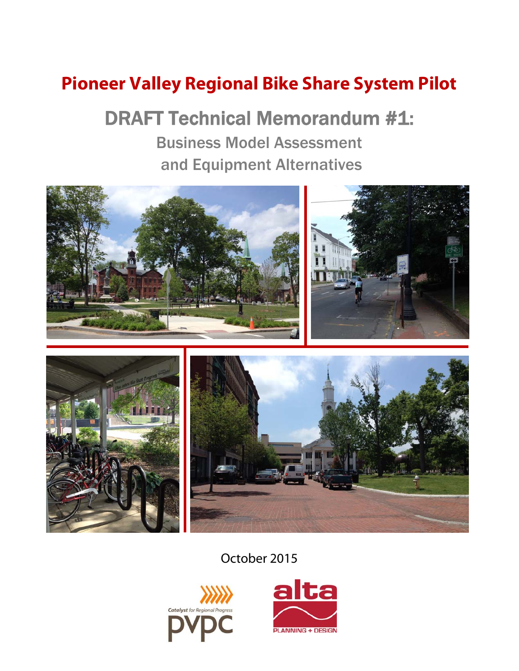# **Pioneer Valley Regional Bike Share System Pilot**

# DRAFT Technical Memorandum #1: Business Model Assessment and Equipment Alternatives



## October 2015



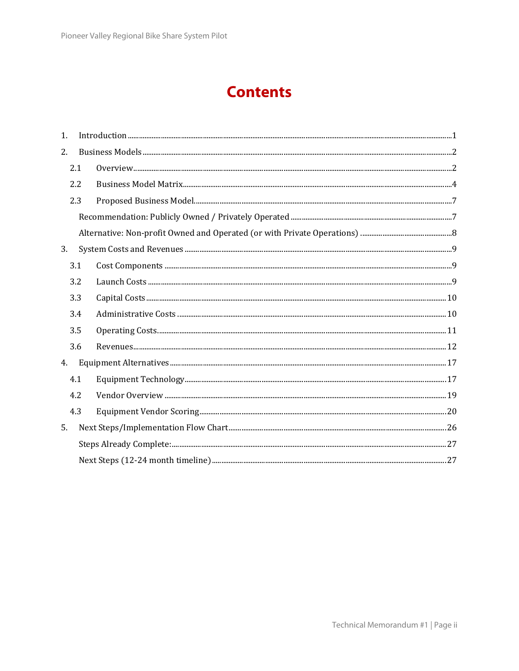## **Contents**

| 1. |     | $\label{prop:1} \mbox{Introduction} \,\, \ldots \,\, \ldots \,\, \ldots \,\, \ldots \,\, \ldots \,\, \ldots \,\, \ldots \,\, \ldots \,\, \ldots \,\, \ldots \,\, \ldots \,\, \ldots \,\, \ldots \,\, \ldots \,\, \ldots \,\, \ldots \,\, \ldots \,\, \ldots \,\, \ldots \,\, \ldots \,\, \ldots \,\, \ldots \,\, \ldots \,\, \ldots \,\, \ldots \,\, \ldots \,\, \ldots \,\, \ldots \,\, \ldots \,\, \ldots \,\, \ldots \,\, \ldots \,\, \ldots \,\, \ldots \,\,$ |
|----|-----|-------------------------------------------------------------------------------------------------------------------------------------------------------------------------------------------------------------------------------------------------------------------------------------------------------------------------------------------------------------------------------------------------------------------------------------------------------------------|
| 2. |     |                                                                                                                                                                                                                                                                                                                                                                                                                                                                   |
|    | 2.1 |                                                                                                                                                                                                                                                                                                                                                                                                                                                                   |
|    | 2.2 |                                                                                                                                                                                                                                                                                                                                                                                                                                                                   |
|    | 2.3 |                                                                                                                                                                                                                                                                                                                                                                                                                                                                   |
|    |     |                                                                                                                                                                                                                                                                                                                                                                                                                                                                   |
|    |     |                                                                                                                                                                                                                                                                                                                                                                                                                                                                   |
| 3. |     |                                                                                                                                                                                                                                                                                                                                                                                                                                                                   |
|    | 3.1 |                                                                                                                                                                                                                                                                                                                                                                                                                                                                   |
|    | 3.2 |                                                                                                                                                                                                                                                                                                                                                                                                                                                                   |
|    | 3.3 |                                                                                                                                                                                                                                                                                                                                                                                                                                                                   |
|    | 3.4 |                                                                                                                                                                                                                                                                                                                                                                                                                                                                   |
|    | 3.5 |                                                                                                                                                                                                                                                                                                                                                                                                                                                                   |
|    | 3.6 |                                                                                                                                                                                                                                                                                                                                                                                                                                                                   |
| 4. |     |                                                                                                                                                                                                                                                                                                                                                                                                                                                                   |
|    | 4.1 |                                                                                                                                                                                                                                                                                                                                                                                                                                                                   |
|    | 4.2 |                                                                                                                                                                                                                                                                                                                                                                                                                                                                   |
|    | 4.3 |                                                                                                                                                                                                                                                                                                                                                                                                                                                                   |
| 5. |     |                                                                                                                                                                                                                                                                                                                                                                                                                                                                   |
|    |     |                                                                                                                                                                                                                                                                                                                                                                                                                                                                   |
|    |     |                                                                                                                                                                                                                                                                                                                                                                                                                                                                   |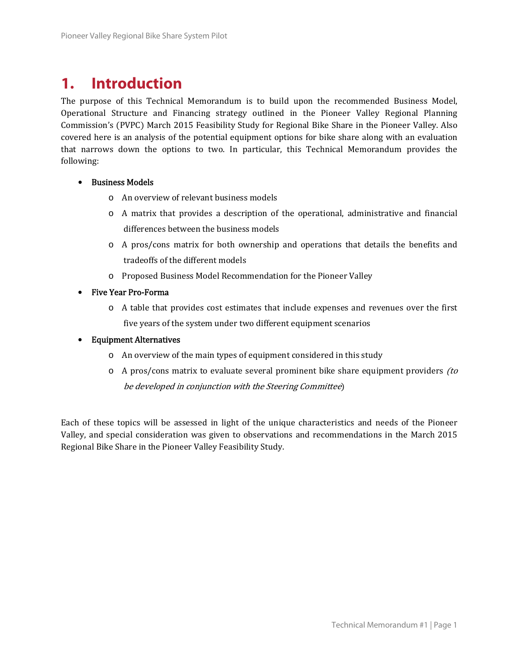## **1. Introduction**

The purpose of this Technical Memorandum is to build upon the recommended Business Model, Operational Structure and Financing strategy outlined in the Pioneer Valley Regional Planning Commission's (PVPC) March 2015 Feasibility Study for Regional Bike Share in the Pioneer Valley. Also covered here is an analysis of the potential equipment options for bike share along with an evaluation that narrows down the options to two. In particular, this Technical Memorandum provides the following: 

- Business Models
	- o An overview of relevant business models
	- $\circ$  A matrix that provides a description of the operational, administrative and financial differences between the business models
	- $\circ$  A pros/cons matrix for both ownership and operations that details the benefits and tradeoffs of the different models
	- o Proposed Business Model Recommendation for the Pioneer Valley
- Five Year Pro-Forma
	- $\circ$  A table that provides cost estimates that include expenses and revenues over the first five years of the system under two different equipment scenarios
- Equipment Alternatives
	- $\circ$  An overview of the main types of equipment considered in this study
	- $\circ$  A pros/cons matrix to evaluate several prominent bike share equipment providers *(to*) be developed in conjunction with the Steering Committee)

Each of these topics will be assessed in light of the unique characteristics and needs of the Pioneer Valley, and special consideration was given to observations and recommendations in the March 2015 Regional Bike Share in the Pioneer Valley Feasibility Study.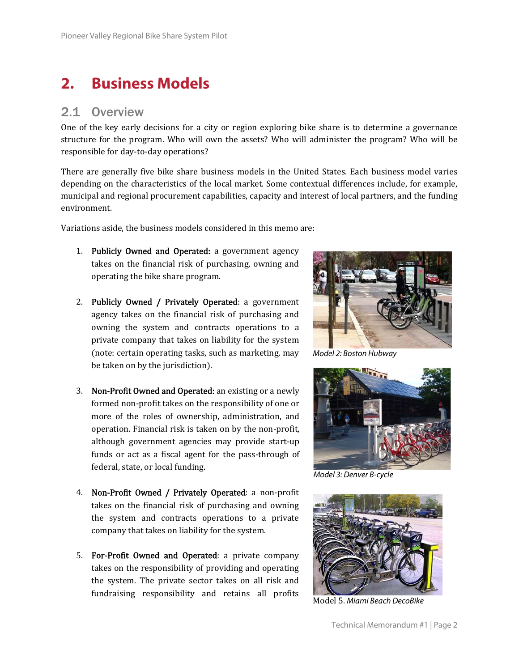## **2. Business Models**

### 2.1 Overview

One of the key early decisions for a city or region exploring bike share is to determine a governance structure for the program. Who will own the assets? Who will administer the program? Who will be responsible for day-to-day operations?

There are generally five bike share business models in the United States. Each business model varies depending on the characteristics of the local market. Some contextual differences include, for example, municipal and regional procurement capabilities, capacity and interest of local partners, and the funding environment. 

Variations aside, the business models considered in this memo are:

- 1. Publicly Owned and Operated: a government agency takes on the financial risk of purchasing, owning and operating the bike share program.
- 2. Publicly Owned / Privately Operated: a government agency takes on the financial risk of purchasing and owning the system and contracts operations to a private company that takes on liability for the system (note: certain operating tasks, such as marketing, may be taken on by the jurisdiction).
- 3. Non-Profit Owned and Operated: an existing or a newly formed non-profit takes on the responsibility of one or more of the roles of ownership, administration, and operation. Financial risk is taken on by the non-profit, although government agencies may provide start-up funds or act as a fiscal agent for the pass-through of federal, state, or local funding.
- 4. Non-Profit Owned / Privately Operated: a non-profit takes on the financial risk of purchasing and owning the system and contracts operations to a private company that takes on liability for the system.
- 5. For-Profit Owned and Operated: a private company takes on the responsibility of providing and operating the system. The private sector takes on all risk and fundraising responsibility and retains all profits



Model 2: Boston Hubway



Model 3: Denver B-cycle



Model 5. Miami Beach DecoBike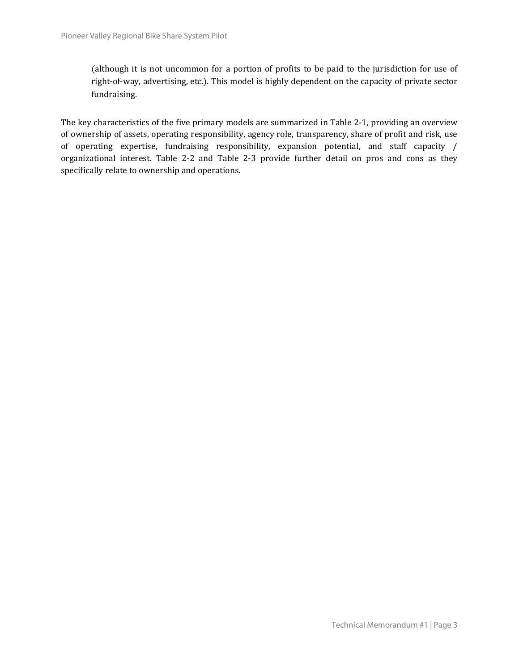(although it is not uncommon for a portion of profits to be paid to the jurisdiction for use of right-of-way, advertising, etc.). This model is highly dependent on the capacity of private sector fundraising. 

The key characteristics of the five primary models are summarized in Table 2-1, providing an overview of ownership of assets, operating responsibility, agency role, transparency, share of profit and risk, use of operating expertise, fundraising responsibility, expansion potential, and staff capacity / organizational interest. Table 2-2 and Table 2-3 provide further detail on pros and cons as they specifically relate to ownership and operations.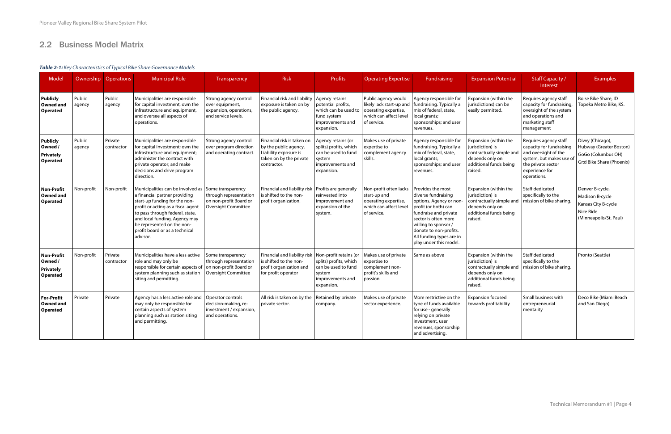### 2.2 Business Model Matrix

### **Table 2-1:** Key Characteristics of Typical Bike Share Governance Models

| Model                                                        |                  | Ownership Operations  | <b>Municipal Role</b>                                                                                                                                                                                                                                                                     | Transparency                                                                                        | <b>Risk</b>                                                                                                                       | <b>Profits</b>                                                                                                  | <b>Operating Expertise</b>                                                                                       | Fundraising                                                                                                                                                                                                                                         | <b>Expansion Potential</b>                                                                                                    | <b>Staff Capacity /</b><br>Interest                                                                                                                          | Examples                                                                                         |
|--------------------------------------------------------------|------------------|-----------------------|-------------------------------------------------------------------------------------------------------------------------------------------------------------------------------------------------------------------------------------------------------------------------------------------|-----------------------------------------------------------------------------------------------------|-----------------------------------------------------------------------------------------------------------------------------------|-----------------------------------------------------------------------------------------------------------------|------------------------------------------------------------------------------------------------------------------|-----------------------------------------------------------------------------------------------------------------------------------------------------------------------------------------------------------------------------------------------------|-------------------------------------------------------------------------------------------------------------------------------|--------------------------------------------------------------------------------------------------------------------------------------------------------------|--------------------------------------------------------------------------------------------------|
| <b>Publicly</b><br><b>Owned and</b><br><b>Operated</b>       | Public<br>agency | Public<br>agency      | Municipalities are responsible<br>for capital investment, own the<br>infrastructure and equipment,<br>and oversee all aspects of<br>operations.                                                                                                                                           | Strong agency control<br>over equipment,<br>expansion, operations,<br>and service levels.           | Financial risk and liability<br>exposure is taken on by<br>the public agency.                                                     | Agency retains<br>potential profits,<br>which can be used to<br>fund system<br>improvements and<br>expansion.   | Public agency would<br>likely lack start-up and<br>operating expertise,<br>which can affect level<br>of service. | Agency responsible for<br>fundraising. Typically a<br>mix of federal, state,<br>local grants;<br>sponsorships; and user<br>revenues.                                                                                                                | Expansion (within the<br>jurisdictions) can be<br>easily permitted.                                                           | Requires agency staff<br>capacity for fundraising,<br>oversight of the system<br>and operations and<br>marketing staff<br>management                         | Boise Bike Share, ID<br>Topeka Metro Bike, KS.                                                   |
| <b>Publicly</b><br>Owned /<br>Privately<br><b>Operated</b>   | Public<br>agency | Private<br>contractor | Municipalities are responsible<br>for capital investment; own the<br>infrastructure and equipment;<br>administer the contract with<br>private operator; and make<br>decisions and drive program<br>direction.                                                                             | Strong agency control<br>over program direction<br>and operating contract.                          | Financial risk is taken on<br>by the public agency.<br>Liability exposure is<br>taken on by the private<br>contractor.            | Agency retains (or<br>splits) profits, which<br>can be used to fund<br>system<br>improvements and<br>expansion. | Makes use of private<br>expertise to<br>complement agency<br>skills.                                             | Agency responsible for<br>fundraising. Typically a<br>mix of federal, state,<br>local grants;<br>sponsorships; and user<br>revenues.                                                                                                                | Expansion (within the<br>jurisdiction) is<br>contractually simple and<br>depends only on<br>additional funds being<br>raised. | Requires agency staff<br>capacity for fundraising<br>and oversight of the<br>system, but makes use of<br>the private sector<br>experience for<br>operations. | Divvy (Chicago),<br>Hubway (Greater Boston)<br>GoGo (Columbus OH)<br>Gr:d Bike Share (Phoenix)   |
| <b>Non-Profit</b><br><b>Owned and</b><br><b>Operated</b>     | Non-profit       | Non-profit            | Municipalities can be involved as<br>a financial partner providing<br>start-up funding for the non-<br>profit or acting as a fiscal agent<br>to pass through federal, state,<br>and local funding. Agency may<br>be represented on the non-<br>profit board or as a technical<br>advisor. | Some transparency<br>through representation<br>on non-profit Board or<br><b>Oversight Committee</b> | Financial and liability risk<br>is shifted to the non-<br>profit organization.                                                    | Profits are generally<br>reinvested into<br>improvement and<br>expansion of the<br>system.                      | Non-profit often lacks<br>start-up and<br>operating expertise,<br>which can affect level<br>of service.          | Provides the most<br>diverse fundraising<br>options. Agency or non<br>profit (or both) can<br>fundraise and private<br>sector is often more<br>willing to sponsor /<br>donate to non-profits.<br>All funding types are in<br>play under this model. | Expansion (within the<br>jurisdiction) is<br>contractually simple and<br>depends only on<br>additional funds being<br>raised. | Staff dedicated<br>specifically to the<br>mission of bike sharing.                                                                                           | Denver B-cycle,<br>Madison B-cycle<br>Kansas City B-cycle<br>Nice Ride<br>(Minneapolis/St. Paul) |
| <b>Non-Profit</b><br>Owned /<br>Privately<br><b>Operated</b> | Non-profit       | Private<br>contractor | Municipalities have a less active<br>role and may only be<br>responsible for certain aspects of<br>system planning such as station<br>siting and permitting.                                                                                                                              | Some transparency<br>through representation<br>on non-profit Board or<br><b>Oversight Committee</b> | Financial and liability risk   Non-profit retains (or<br>is shifted to the non-<br>profit organization and<br>for profit operator | splits) profits, which<br>can be used to fund<br>system<br>improvements and<br>expansion.                       | Makes use of private<br>expertise to<br>complement non-<br>profit's skills and<br>passion.                       | Same as above                                                                                                                                                                                                                                       | Expansion (within the<br>jurisdiction) is<br>contractually simple and<br>depends only on<br>additional funds being<br>raised. | <b>Staff dedicated</b><br>specifically to the<br>mission of bike sharing.                                                                                    | Pronto (Seattle)                                                                                 |
| <b>For-Profit</b><br><b>Owned and</b><br><b>Operated</b>     | Private          | Private               | Agency has a less active role and<br>may only be responsible for<br>certain aspects of system<br>planning such as station siting<br>and permitting.                                                                                                                                       | Operator controls<br>decision-making, re-<br>investment / expansion,<br>and operations.             | All risk is taken on by the   Retained by private<br>private sector.                                                              | company.                                                                                                        | Makes use of private<br>sector experience.                                                                       | More restrictive on the<br>type of funds available<br>for use - generally<br>relying on private<br>investment, user<br>revenues, sponsorship<br>and advertising.                                                                                    | <b>Expansion focused</b><br>towards profitability                                                                             | Small business with<br>entrepreneurial<br>mentality                                                                                                          | Deco Bike (Miami Beach<br>and San Diego)                                                         |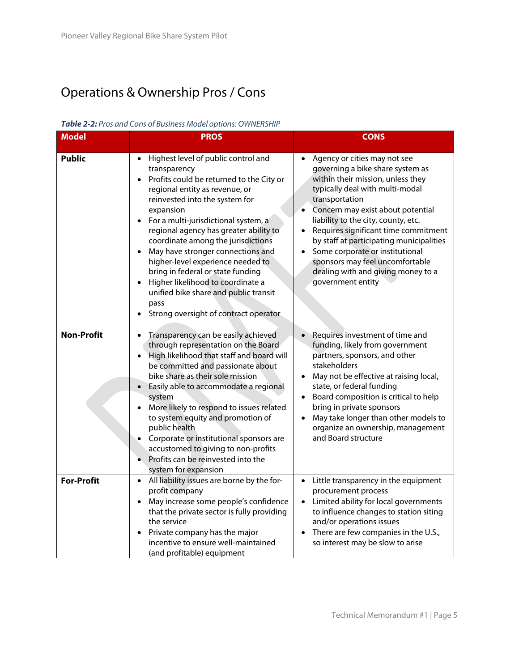## Operations & Ownership Pros / Cons

| <b>Model</b>      | <b>NOICE E.</b> TOS and Cons or Dashicss model options. On neutral in<br><b>PROS</b>                                                                                                                                                                                                                                                                                                                                                                                                                                                                                                          | <b>CONS</b>                                                                                                                                                                                                                                                                                                                                                                                                                                                                                        |
|-------------------|-----------------------------------------------------------------------------------------------------------------------------------------------------------------------------------------------------------------------------------------------------------------------------------------------------------------------------------------------------------------------------------------------------------------------------------------------------------------------------------------------------------------------------------------------------------------------------------------------|----------------------------------------------------------------------------------------------------------------------------------------------------------------------------------------------------------------------------------------------------------------------------------------------------------------------------------------------------------------------------------------------------------------------------------------------------------------------------------------------------|
| <b>Public</b>     | Highest level of public control and<br>$\bullet$<br>transparency<br>Profits could be returned to the City or<br>$\bullet$<br>regional entity as revenue, or<br>reinvested into the system for<br>expansion<br>For a multi-jurisdictional system, a<br>$\bullet$<br>regional agency has greater ability to<br>coordinate among the jurisdictions<br>May have stronger connections and<br>higher-level experience needed to<br>bring in federal or state funding<br>Higher likelihood to coordinate a<br>unified bike share and public transit<br>pass<br>Strong oversight of contract operator | Agency or cities may not see<br>$\bullet$<br>governing a bike share system as<br>within their mission, unless they<br>typically deal with multi-modal<br>transportation<br>Concern may exist about potential<br>$\bullet$<br>liability to the city, county, etc.<br>Requires significant time commitment<br>by staff at participating municipalities<br>Some corporate or institutional<br>$\bullet$<br>sponsors may feel uncomfortable<br>dealing with and giving money to a<br>government entity |
| <b>Non-Profit</b> | Transparency can be easily achieved<br>$\bullet$<br>through representation on the Board<br>High likelihood that staff and board will<br>$\bullet$<br>be committed and passionate about<br>bike share as their sole mission<br>Easily able to accommodate a regional<br>$\bullet$<br>system<br>More likely to respond to issues related<br>to system equity and promotion of<br>public health<br>Corporate or institutional sponsors are<br>accustomed to giving to non-profits<br>Profits can be reinvested into the<br>system for expansion                                                  | Requires investment of time and<br>funding, likely from government<br>partners, sponsors, and other<br>stakeholders<br>May not be effective at raising local,<br>$\bullet$<br>state, or federal funding<br>Board composition is critical to help<br>$\bullet$<br>bring in private sponsors<br>May take longer than other models to<br>$\bullet$<br>organize an ownership, management<br>and Board structure                                                                                        |
| <b>For-Profit</b> | All liability issues are borne by the for-<br>$\bullet$<br>profit company<br>May increase some people's confidence<br>$\bullet$<br>that the private sector is fully providing<br>the service<br>Private company has the major<br>$\bullet$<br>incentive to ensure well-maintained<br>(and profitable) equipment                                                                                                                                                                                                                                                                               | Little transparency in the equipment<br>$\bullet$<br>procurement process<br>Limited ability for local governments<br>$\bullet$<br>to influence changes to station siting<br>and/or operations issues<br>There are few companies in the U.S.,<br>$\bullet$<br>so interest may be slow to arise                                                                                                                                                                                                      |

#### **Table 2-2:** Pros and Cons of Business Model options: OWNERSHIP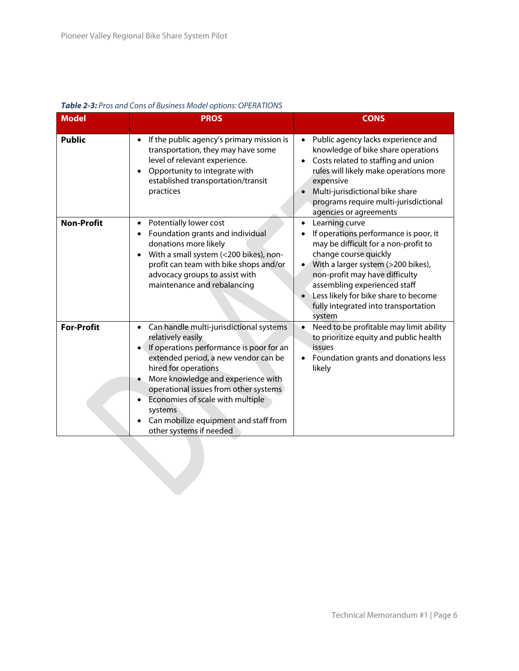| <b>Model</b>      | <b>PROS</b>                                                                                                                                                                                                                                                                                                                                                                                               | <b>CONS</b>                                                                                                                                                                                                                                                                                                                                          |
|-------------------|-----------------------------------------------------------------------------------------------------------------------------------------------------------------------------------------------------------------------------------------------------------------------------------------------------------------------------------------------------------------------------------------------------------|------------------------------------------------------------------------------------------------------------------------------------------------------------------------------------------------------------------------------------------------------------------------------------------------------------------------------------------------------|
| <b>Public</b>     | If the public agency's primary mission is<br>transportation, they may have some<br>level of relevant experience.<br>Opportunity to integrate with<br>established transportation/transit<br>practices                                                                                                                                                                                                      | Public agency lacks experience and<br>$\bullet$<br>knowledge of bike share operations<br>Costs related to staffing and union<br>$\bullet$<br>rules will likely make operations more<br>expensive<br>Multi-jurisdictional bike share<br>$\bullet$<br>programs require multi-jurisdictional<br>agencies or agreements                                  |
| <b>Non-Profit</b> | Potentially lower cost<br>$\bullet$<br>Foundation grants and individual<br>donations more likely<br>With a small system (<200 bikes), non-<br>profit can team with bike shops and/or<br>advocacy groups to assist with<br>maintenance and rebalancing                                                                                                                                                     | Learning curve<br>$\bullet$<br>If operations performance is poor, it<br>may be difficult for a non-profit to<br>change course quickly<br>With a larger system (>200 bikes),<br>$\bullet$<br>non-profit may have difficulty<br>assembling experienced staff<br>Less likely for bike share to become<br>fully integrated into transportation<br>system |
| <b>For-Profit</b> | Can handle multi-jurisdictional systems<br>$\bullet$<br>relatively easily<br>If operations performance is poor for an<br>extended period, a new vendor can be<br>hired for operations<br>More knowledge and experience with<br>٠<br>operational issues from other systems<br>Economies of scale with multiple<br>$\bullet$<br>systems<br>Can mobilize equipment and staff from<br>other systems if needed | Need to be profitable may limit ability<br>$\bullet$<br>to prioritize equity and public health<br>issues<br>Foundation grants and donations less<br>likely                                                                                                                                                                                           |

#### **Table 2-3:** Pros and Cons of Business Model options: OPERATIONS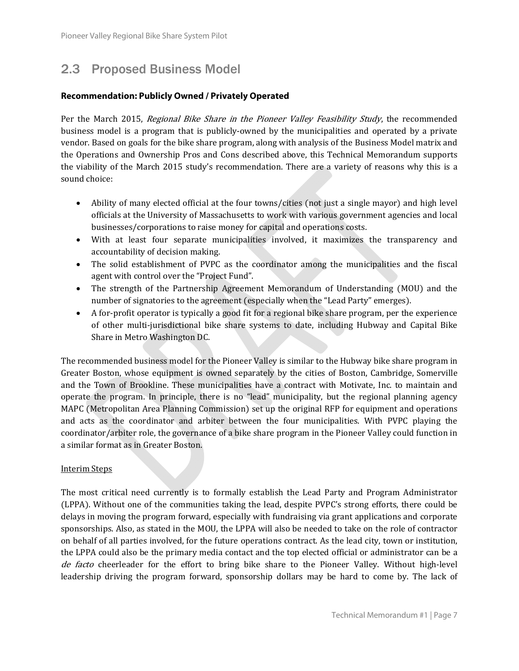### 2.3 Proposed Business Model

#### **Recommendation: Publicly Owned / Privately Operated**

Per the March 2015, *Regional Bike Share in the Pioneer Valley Feasibility Study*, the recommended business model is a program that is publicly-owned by the municipalities and operated by a private vendor. Based on goals for the bike share program, along with analysis of the Business Model matrix and the Operations and Ownership Pros and Cons described above, this Technical Memorandum supports the viability of the March 2015 study's recommendation. There are a variety of reasons why this is a sound choice:

- Ability of many elected official at the four towns/cities (not just a single mayor) and high level officials at the University of Massachusetts to work with various government agencies and local businesses/corporations to raise money for capital and operations costs.
- With at least four separate municipalities involved, it maximizes the transparency and accountability of decision making.
- The solid establishment of PVPC as the coordinator among the municipalities and the fiscal agent with control over the "Project Fund".
- The strength of the Partnership Agreement Memorandum of Understanding (MOU) and the number of signatories to the agreement (especially when the "Lead Party" emerges).
- A for-profit operator is typically a good fit for a regional bike share program, per the experience of other multi-jurisdictional bike share systems to date, including Hubway and Capital Bike Share in Metro Washington DC.

The recommended business model for the Pioneer Valley is similar to the Hubway bike share program in Greater Boston, whose equipment is owned separately by the cities of Boston, Cambridge, Somerville and the Town of Brookline. These municipalities have a contract with Motivate, Inc. to maintain and operate the program. In principle, there is no "lead" municipality, but the regional planning agency MAPC (Metropolitan Area Planning Commission) set up the original RFP for equipment and operations and acts as the coordinator and arbiter between the four municipalities. With PVPC playing the coordinator/arbiter role, the governance of a bike share program in the Pioneer Valley could function in a similar format as in Greater Boston.

#### **Interim Steps**

The most critical need currently is to formally establish the Lead Party and Program Administrator (LPPA). Without one of the communities taking the lead, despite PVPC's strong efforts, there could be delays in moving the program forward, especially with fundraising via grant applications and corporate sponsorships. Also, as stated in the MOU, the LPPA will also be needed to take on the role of contractor on behalf of all parties involved, for the future operations contract. As the lead city, town or institution, the LPPA could also be the primary media contact and the top elected official or administrator can be a de facto cheerleader for the effort to bring bike share to the Pioneer Valley. Without high-level leadership driving the program forward, sponsorship dollars may be hard to come by. The lack of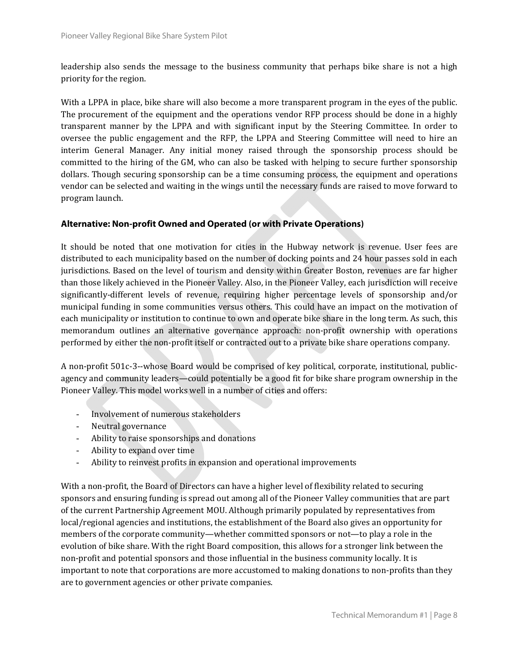leadership also sends the message to the business community that perhaps bike share is not a high priority for the region.

With a LPPA in place, bike share will also become a more transparent program in the eyes of the public. The procurement of the equipment and the operations vendor RFP process should be done in a highly transparent manner by the LPPA and with significant input by the Steering Committee. In order to oversee the public engagement and the RFP, the LPPA and Steering Committee will need to hire an interim General Manager. Any initial money raised through the sponsorship process should be committed to the hiring of the GM, who can also be tasked with helping to secure further sponsorship dollars. Though securing sponsorship can be a time consuming process, the equipment and operations vendor can be selected and waiting in the wings until the necessary funds are raised to move forward to program launch. 

#### **Alternative: Non-profit Owned and Operated (or with Private Operations)**

It should be noted that one motivation for cities in the Hubway network is revenue. User fees are distributed to each municipality based on the number of docking points and 24 hour passes sold in each jurisdictions. Based on the level of tourism and density within Greater Boston, revenues are far higher than those likely achieved in the Pioneer Valley. Also, in the Pioneer Valley, each jurisdiction will receive significantly-different levels of revenue, requiring higher percentage levels of sponsorship and/or municipal funding in some communities versus others. This could have an impact on the motivation of each municipality or institution to continue to own and operate bike share in the long term. As such, this memorandum outlines an alternative governance approach: non-profit ownership with operations performed by either the non-profit itself or contracted out to a private bike share operations company.

A non-profit 501c-3--whose Board would be comprised of key political, corporate, institutional, publicagency and community leaders—could potentially be a good fit for bike share program ownership in the Pioneer Valley. This model works well in a number of cities and offers:

- Involvement of numerous stakeholders
- Neutral governance
- Ability to raise sponsorships and donations
- Ability to expand over time
- Ability to reinvest profits in expansion and operational improvements

With a non-profit, the Board of Directors can have a higher level of flexibility related to securing sponsors and ensuring funding is spread out among all of the Pioneer Valley communities that are part of the current Partnership Agreement MOU. Although primarily populated by representatives from local/regional agencies and institutions, the establishment of the Board also gives an opportunity for members of the corporate community—whether committed sponsors or not—to play a role in the evolution of bike share. With the right Board composition, this allows for a stronger link between the non-profit and potential sponsors and those influential in the business community locally. It is important to note that corporations are more accustomed to making donations to non-profits than they are to government agencies or other private companies.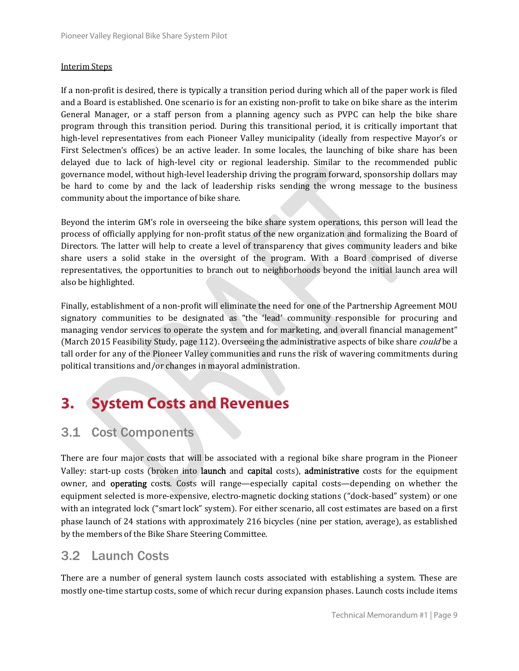#### **Interim Steps**

If a non-profit is desired, there is typically a transition period during which all of the paper work is filed and a Board is established. One scenario is for an existing non-profit to take on bike share as the interim General Manager, or a staff person from a planning agency such as PVPC can help the bike share program through this transition period. During this transitional period, it is critically important that high-level representatives from each Pioneer Valley municipality (ideally from respective Mayor's or First Selectmen's offices) be an active leader. In some locales, the launching of bike share has been delayed due to lack of high-level city or regional leadership. Similar to the recommended public governance model, without high-level leadership driving the program forward, sponsorship dollars may be hard to come by and the lack of leadership risks sending the wrong message to the business community about the importance of bike share.

Beyond the interim GM's role in overseeing the bike share system operations, this person will lead the process of officially applying for non-profit status of the new organization and formalizing the Board of Directors. The latter will help to create a level of transparency that gives community leaders and bike share users a solid stake in the oversight of the program. With a Board comprised of diverse representatives, the opportunities to branch out to neighborhoods beyond the initial launch area will also be highlighted. 

Finally, establishment of a non-profit will eliminate the need for one of the Partnership Agreement MOU signatory communities to be designated as "the 'lead' community responsible for procuring and managing vendor services to operate the system and for marketing, and overall financial management" (March 2015 Feasibility Study, page 112). Overseeing the administrative aspects of bike share *could* be a tall order for any of the Pioneer Valley communities and runs the risk of wavering commitments during political transitions and/or changes in mayoral administration.

## **3. System Costs and Revenues**

### 3.1 Cost Components

There are four major costs that will be associated with a regional bike share program in the Pioneer Valley: start-up costs (broken into launch and capital costs), administrative costs for the equipment owner, and **operating** costs. Costs will range—especially capital costs—depending on whether the equipment selected is more-expensive, electro-magnetic docking stations ("dock-based" system) or one with an integrated lock ("smart lock" system). For either scenario, all cost estimates are based on a first phase launch of 24 stations with approximately 216 bicycles (nine per station, average), as established by the members of the Bike Share Steering Committee.

### 3.2 Launch Costs

There are a number of general system launch costs associated with establishing a system. These are mostly one-time startup costs, some of which recur during expansion phases. Launch costs include items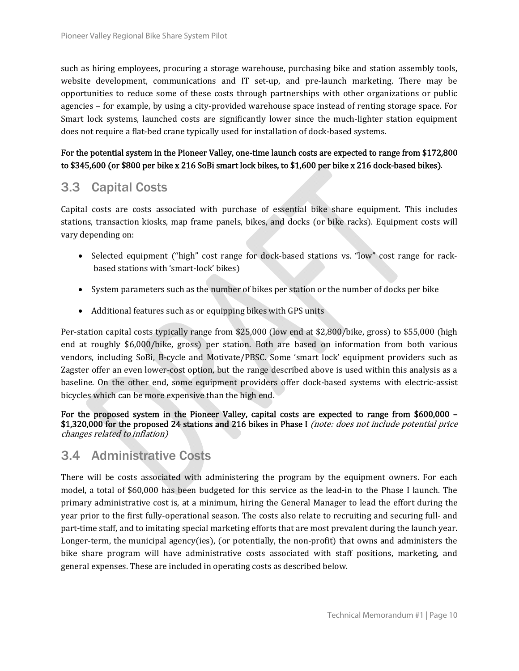such as hiring employees, procuring a storage warehouse, purchasing bike and station assembly tools, website development, communications and IT set-up, and pre-launch marketing. There may be opportunities to reduce some of these costs through partnerships with other organizations or public agencies – for example, by using a city-provided warehouse space instead of renting storage space. For Smart lock systems, launched costs are significantly lower since the much-lighter station equipment does not require a flat-bed crane typically used for installation of dock-based systems.

### For the potential system in the Pioneer Valley, one-time launch costs are expected to range from \$172,800 to  $$345,600$  (or  $$800$  per bike x 216 SoBi smart lock bikes, to  $$1,600$  per bike x 216 dock-based bikes).

### 3.3 Capital Costs

Capital costs are costs associated with purchase of essential bike share equipment. This includes stations, transaction kiosks, map frame panels, bikes, and docks (or bike racks). Equipment costs will vary depending on:

- Selected equipment ("high" cost range for dock-based stations vs. "low" cost range for rackbased stations with 'smart-lock' bikes)
- System parameters such as the number of bikes per station or the number of docks per bike
- Additional features such as or equipping bikes with GPS units

Per-station capital costs typically range from \$25,000 (low end at \$2,800/bike, gross) to \$55,000 (high end at roughly \$6,000/bike, gross) per station. Both are based on information from both various vendors, including SoBi, B-cycle and Motivate/PBSC. Some 'smart lock' equipment providers such as Zagster offer an even lower-cost option, but the range described above is used within this analysis as a baseline. On the other end, some equipment providers offer dock-based systems with electric-assist bicycles which can be more expensive than the high end.

For the proposed system in the Pioneer Valley, capital costs are expected to range from  $$600,000$  – \$1,320,000 for the proposed 24 stations and 216 bikes in Phase I (note: does not include potential price changes related to inflation)

### 3.4 Administrative Costs

There will be costs associated with administering the program by the equipment owners. For each model, a total of \$60,000 has been budgeted for this service as the lead-in to the Phase I launch. The primary administrative cost is, at a minimum, hiring the General Manager to lead the effort during the year prior to the first fully-operational season. The costs also relate to recruiting and securing full- and part-time staff, and to imitating special marketing efforts that are most prevalent during the launch year. Longer-term, the municipal agency(ies), (or potentially, the non-profit) that owns and administers the bike share program will have administrative costs associated with staff positions, marketing, and general expenses. These are included in operating costs as described below.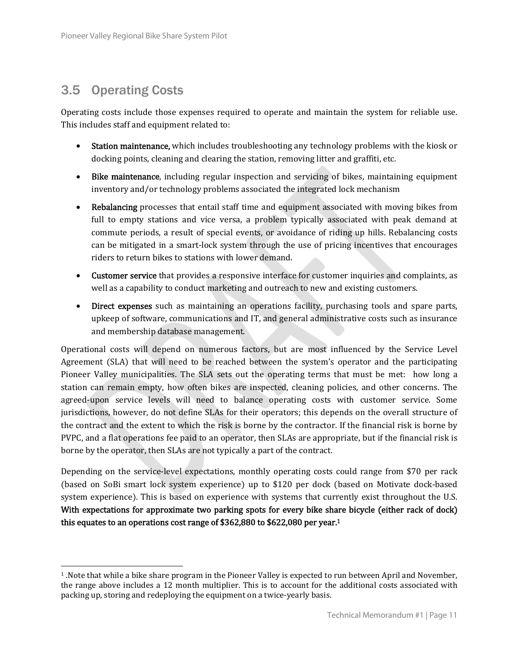### 3.5 Operating Costs

 

Operating costs include those expenses required to operate and maintain the system for reliable use. This includes staff and equipment related to:

- Station maintenance, which includes troubleshooting any technology problems with the kiosk or docking points, cleaning and clearing the station, removing litter and graffiti, etc.
- Bike maintenance, including regular inspection and servicing of bikes, maintaining equipment inventory and/or technology problems associated the integrated lock mechanism
- Rebalancing processes that entail staff time and equipment associated with moving bikes from full to empty stations and vice versa, a problem typically associated with peak demand at commute periods, a result of special events, or avoidance of riding up hills. Rebalancing costs can be mitigated in a smart-lock system through the use of pricing incentives that encourages riders to return bikes to stations with lower demand.
- Customer service that provides a responsive interface for customer inquiries and complaints, as well as a capability to conduct marketing and outreach to new and existing customers.
- Direct expenses such as maintaining an operations facility, purchasing tools and spare parts, upkeep of software, communications and IT, and general administrative costs such as insurance and membership database management.

Operational costs will depend on numerous factors, but are most influenced by the Service Level Agreement (SLA) that will need to be reached between the system's operator and the participating Pioneer Valley municipalities. The SLA sets out the operating terms that must be met: how long a station can remain empty, how often bikes are inspected, cleaning policies, and other concerns. The agreed-upon service levels will need to balance operating costs with customer service. Some jurisdictions, however, do not define SLAs for their operators; this depends on the overall structure of the contract and the extent to which the risk is borne by the contractor. If the financial risk is borne by PVPC, and a flat operations fee paid to an operator, then SLAs are appropriate, but if the financial risk is borne by the operator, then SLAs are not typically a part of the contract.

Depending on the service-level expectations, monthly operating costs could range from  $$70$  per rack (based on SoBi smart lock system experience) up to \$120 per dock (based on Motivate dock-based system experience). This is based on experience with systems that currently exist throughout the U.S. With expectations for approximate two parking spots for every bike share bicycle (either rack of dock) this equates to an operations cost range of  $$362,880$  to  $$622,080$  per year.<sup>1</sup>

<sup>&</sup>lt;sup>1</sup>. Note that while a bike share program in the Pioneer Valley is expected to run between April and November, the range above includes a 12 month multiplier. This is to account for the additional costs associated with packing up, storing and redeploying the equipment on a twice-yearly basis.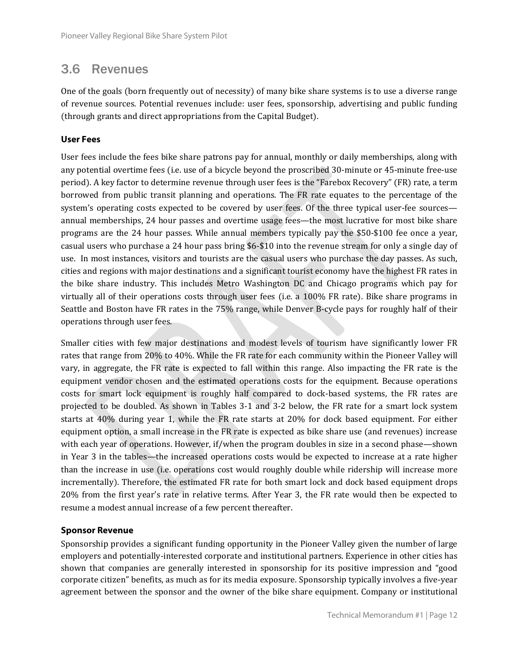### 3.6 Revenues

One of the goals (born frequently out of necessity) of many bike share systems is to use a diverse range of revenue sources. Potential revenues include: user fees, sponsorship, advertising and public funding (through grants and direct appropriations from the Capital Budget).

### **User Fees**

User fees include the fees bike share patrons pay for annual, monthly or daily memberships, along with any potential overtime fees (i.e. use of a bicycle beyond the proscribed 30-minute or 45-minute free-use period). A key factor to determine revenue through user fees is the "Farebox Recovery" (FR) rate, a term borrowed from public transit planning and operations. The FR rate equates to the percentage of the system's operating costs expected to be covered by user fees. Of the three typical user-fee sources annual memberships, 24 hour passes and overtime usage fees—the most lucrative for most bike share programs are the 24 hour passes. While annual members typically pay the \$50-\$100 fee once a year, casual users who purchase a 24 hour pass bring \$6-\$10 into the revenue stream for only a single day of use. In most instances, visitors and tourists are the casual users who purchase the day passes. As such, cities and regions with major destinations and a significant tourist economy have the highest FR rates in the bike share industry. This includes Metro Washington DC and Chicago programs which pay for virtually all of their operations costs through user fees (i.e. a  $100\%$  FR rate). Bike share programs in Seattle and Boston have FR rates in the 75% range, while Denver B-cycle pays for roughly half of their operations through user fees.

Smaller cities with few major destinations and modest levels of tourism have significantly lower FR rates that range from 20% to 40%. While the FR rate for each community within the Pioneer Valley will vary, in aggregate, the FR rate is expected to fall within this range. Also impacting the FR rate is the equipment vendor chosen and the estimated operations costs for the equipment. Because operations costs for smart lock equipment is roughly half compared to dock-based systems, the FR rates are projected to be doubled. As shown in Tables 3-1 and 3-2 below, the FR rate for a smart lock system starts at 40% during year 1, while the FR rate starts at 20% for dock based equipment. For either equipment option, a small increase in the FR rate is expected as bike share use (and revenues) increase with each year of operations. However, if/when the program doubles in size in a second phase—shown in Year 3 in the tables—the increased operations costs would be expected to increase at a rate higher than the increase in use (i.e. operations cost would roughly double while ridership will increase more incrementally). Therefore, the estimated FR rate for both smart lock and dock based equipment drops 20% from the first year's rate in relative terms. After Year 3, the FR rate would then be expected to resume a modest annual increase of a few percent thereafter.

### **Sponsor Revenue**

Sponsorship provides a significant funding opportunity in the Pioneer Valley given the number of large employers and potentially-interested corporate and institutional partners. Experience in other cities has shown that companies are generally interested in sponsorship for its positive impression and "good" corporate citizen" benefits, as much as for its media exposure. Sponsorship typically involves a five-year agreement between the sponsor and the owner of the bike share equipment. Company or institutional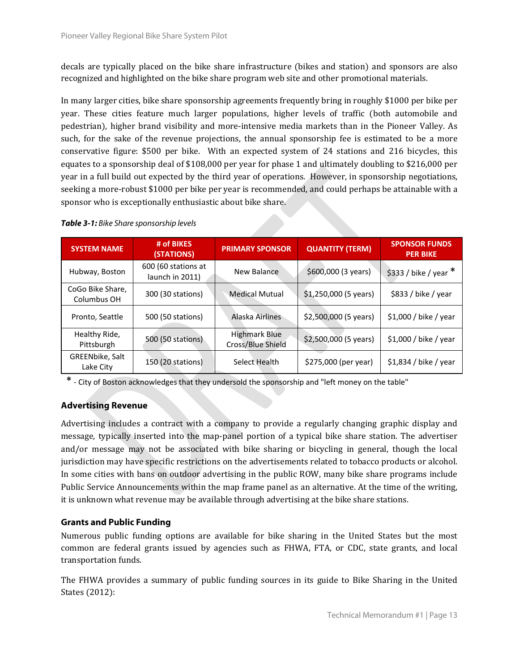decals are typically placed on the bike share infrastructure (bikes and station) and sponsors are also recognized and highlighted on the bike share program web site and other promotional materials.

In many larger cities, bike share sponsorship agreements frequently bring in roughly \$1000 per bike per year. These cities feature much larger populations, higher levels of traffic (both automobile and pedestrian), higher brand visibility and more-intensive media markets than in the Pioneer Valley. As such, for the sake of the revenue projections, the annual sponsorship fee is estimated to be a more conservative figure: \$500 per bike. With an expected system of 24 stations and 216 bicycles, this equates to a sponsorship deal of \$108,000 per year for phase 1 and ultimately doubling to \$216,000 per year in a full build out expected by the third year of operations. However, in sponsorship negotiations, seeking a more-robust \$1000 per bike per year is recommended, and could perhaps be attainable with a sponsor who is exceptionally enthusiastic about bike share.

| <b>SYSTEM NAME</b>              | # of BIKES<br>(STATIONS)               | <b>PRIMARY SPONSOR</b>                    | <b>QUANTITY (TERM)</b> | <b>SPONSOR FUNDS</b><br><b>PER BIKE</b> |
|---------------------------------|----------------------------------------|-------------------------------------------|------------------------|-----------------------------------------|
| Hubway, Boston                  | 600 (60 stations at<br>launch in 2011) | <b>New Balance</b>                        | \$600,000 (3 years)    | $$333$ / bike / year *                  |
| CoGo Bike Share,<br>Columbus OH | 300 (30 stations)                      | <b>Medical Mutual</b>                     | $$1,250,000$ (5 years) | \$833 / bike / year                     |
| Pronto, Seattle                 | 500 (50 stations)                      | Alaska Airlines                           | \$2,500,000 (5 years)  | \$1,000 / bike / year                   |
| Healthy Ride,<br>Pittsburgh     | 500 (50 stations)                      | <b>Highmark Blue</b><br>Cross/Blue Shield | $$2,500,000$ (5 years) | $$1,000 /$ bike / year                  |
| GREENbike, Salt<br>Lake City    | 150 (20 stations)                      | Select Health                             | \$275,000 (per year)   | $$1,834 /$ bike / year                  |

\* ‐ City of Boston acknowledges that they undersold the sponsorship and "left money on the table"

### **Advertising Revenue**

Advertising includes a contract with a company to provide a regularly changing graphic display and message, typically inserted into the map-panel portion of a typical bike share station. The advertiser and/or message may not be associated with bike sharing or bicycling in general, though the local jurisdiction may have specific restrictions on the advertisements related to tobacco products or alcohol. In some cities with bans on outdoor advertising in the public ROW, many bike share programs include Public Service Announcements within the map frame panel as an alternative. At the time of the writing, it is unknown what revenue may be available through advertising at the bike share stations.

### **Grants and Public Funding**

Numerous public funding options are available for bike sharing in the United States but the most common are federal grants issued by agencies such as FHWA, FTA, or CDC, state grants, and local transportation funds.

The FHWA provides a summary of public funding sources in its guide to Bike Sharing in the United States  $(2012)$ :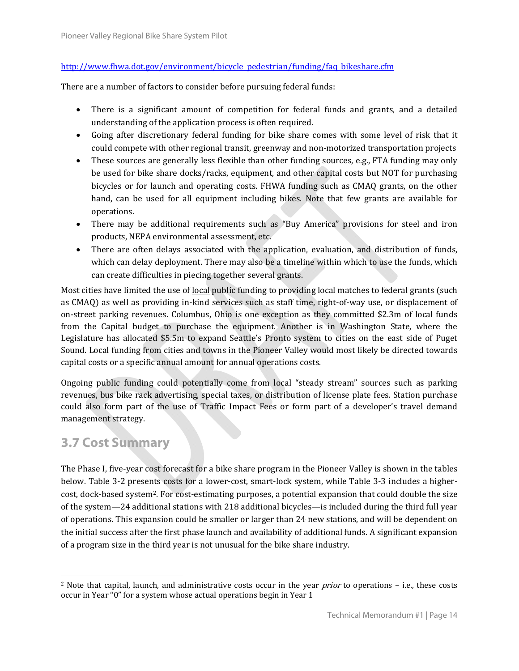### http://www.fhwa.dot.gov/environment/bicycle\_pedestrian/funding/faq\_bikeshare.cfm

There are a number of factors to consider before pursuing federal funds:

- There is a significant amount of competition for federal funds and grants, and a detailed understanding of the application process is often required.
- Going after discretionary federal funding for bike share comes with some level of risk that it could compete with other regional transit, greenway and non-motorized transportation projects
- These sources are generally less flexible than other funding sources, e.g., FTA funding may only be used for bike share docks/racks, equipment, and other capital costs but NOT for purchasing bicycles or for launch and operating costs. FHWA funding such as CMAQ grants, on the other hand, can be used for all equipment including bikes. Note that few grants are available for operations.
- There may be additional requirements such as "Buy America" provisions for steel and iron products, NEPA environmental assessment, etc.
- There are often delays associated with the application, evaluation, and distribution of funds, which can delay deployment. There may also be a timeline within which to use the funds, which can create difficulties in piecing together several grants.

Most cities have limited the use of <u>local</u> public funding to providing local matches to federal grants (such as CMAQ) as well as providing in-kind services such as staff time, right-of-way use, or displacement of on-street parking revenues. Columbus, Ohio is one exception as they committed \$2.3m of local funds from the Capital budget to purchase the equipment. Another is in Washington State, where the Legislature has allocated \$5.5m to expand Seattle's Pronto system to cities on the east side of Puget Sound. Local funding from cities and towns in the Pioneer Valley would most likely be directed towards capital costs or a specific annual amount for annual operations costs.

Ongoing public funding could potentially come from local "steady stream" sources such as parking revenues, bus bike rack advertising, special taxes, or distribution of license plate fees. Station purchase could also form part of the use of Traffic Impact Fees or form part of a developer's travel demand management strategy.

### **3.7 Cost Summary**

 

The Phase I, five-year cost forecast for a bike share program in the Pioneer Valley is shown in the tables below. Table 3-2 presents costs for a lower-cost, smart-lock system, while Table 3-3 includes a highercost, dock-based system<sup>2</sup>. For cost-estimating purposes, a potential expansion that could double the size of the system—24 additional stations with 218 additional bicycles—is included during the third full year of operations. This expansion could be smaller or larger than 24 new stations, and will be dependent on the initial success after the first phase launch and availability of additional funds. A significant expansion of a program size in the third year is not unusual for the bike share industry.

 $2$  Note that capital, launch, and administrative costs occur in the year *prior* to operations  $-$  i.e., these costs occur in Year "0" for a system whose actual operations begin in Year 1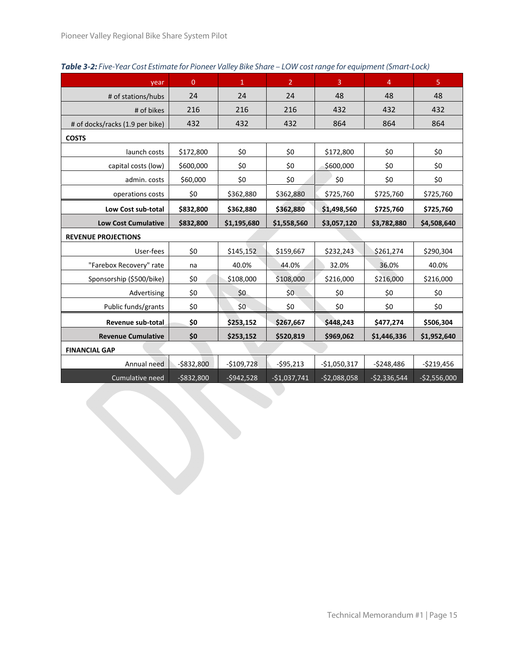| year                            | $\overline{0}$ | $\mathbf{1}$ | $\overline{2}$ | $\overline{3}$ | $\overline{4}$ | $\overline{5}$ |
|---------------------------------|----------------|--------------|----------------|----------------|----------------|----------------|
| # of stations/hubs              | 24             | 24           | 24             | 48             | 48             | 48             |
| # of bikes                      | 216            | 216          | 216            | 432            | 432            | 432            |
| # of docks/racks (1.9 per bike) | 432            | 432          | 432            | 864            | 864            | 864            |
| <b>COSTS</b>                    |                |              |                |                |                |                |
| launch costs                    | \$172,800      | \$0          | \$0            | \$172,800      | \$0            | \$0            |
| capital costs (low)             | \$600,000      | \$0          | \$0            | \$600,000      | \$0            | \$0            |
| admin. costs                    | \$60,000       | \$0          | \$0            | \$0            | \$0            | \$0            |
| operations costs                | \$0            | \$362,880    | \$362,880      | \$725,760      | \$725,760      | \$725,760      |
| Low Cost sub-total              | \$832,800      | \$362,880    | \$362,880      | \$1,498,560    | \$725,760      | \$725,760      |
| <b>Low Cost Cumulative</b>      | \$832,800      | \$1,195,680  | \$1,558,560    | \$3,057,120    | \$3,782,880    | \$4,508,640    |
| <b>REVENUE PROJECTIONS</b>      |                |              |                |                |                |                |
| User-fees                       | \$0            | \$145,152    | \$159,667      | \$232,243      | \$261,274      | \$290,304      |
| "Farebox Recovery" rate         | na             | 40.0%        | 44.0%          | 32.0%          | 36.0%          | 40.0%          |
| Sponsorship (\$500/bike)        | \$0            | \$108,000    | \$108,000      | \$216,000      | \$216,000      | \$216,000      |
| Advertising                     | \$0            | \$0          | \$0            | \$0            | \$0            | \$0            |
| Public funds/grants             | \$0            | \$0          | \$0            | \$0            | \$0            | \$0            |
| Revenue sub-total               | \$0            | \$253,152    | \$267,667      | \$448,243      | \$477,274      | \$506,304      |
| <b>Revenue Cumulative</b>       | \$0            | \$253,152    | \$520,819      | \$969,062      | \$1,446,336    | \$1,952,640    |
| <b>FINANCIAL GAP</b>            |                |              |                |                |                |                |
| Annual need                     | $-$ \$832,800  | $-$109,728$  | $-595,213$     | $-$1,050,317$  | $-5248,486$    | $-$219,456$    |
| Cumulative need                 | $-$ \$832,800  | $-5942,528$  | $-$1,037,741$  | $-52,088,058$  | $-52,336,544$  | $-$2,556,000$  |
|                                 |                |              |                |                |                |                |

#### **Table 3-2:** Five-Year Cost Estimate for Pioneer Valley Bike Share – LOW cost range for equipment (Smart-Lock)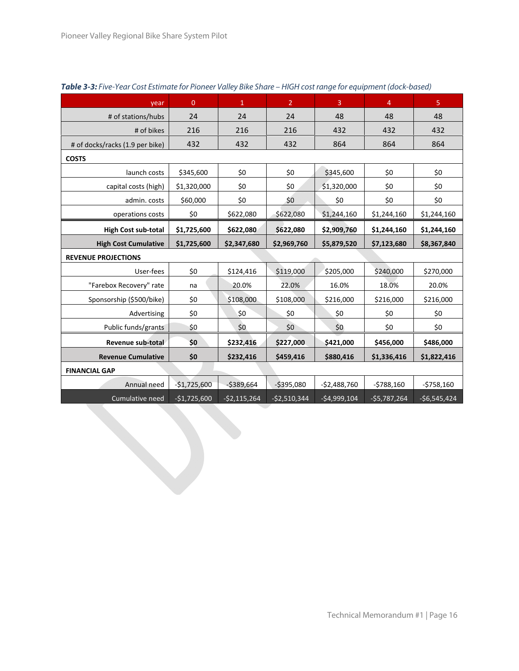| year                            | $\overline{0}$ | $\mathbf{1}$  | $\overline{2}$ | $\mathbf{3}$  | $\overline{4}$ | $\overline{5}$ |
|---------------------------------|----------------|---------------|----------------|---------------|----------------|----------------|
| # of stations/hubs              | 24             | 24            | 24             | 48            | 48             | 48             |
| # of bikes                      | 216            | 216           | 216            | 432           | 432            | 432            |
| # of docks/racks (1.9 per bike) | 432            | 432           | 432            | 864           | 864            | 864            |
| <b>COSTS</b>                    |                |               |                |               |                |                |
| launch costs                    | \$345,600      | \$0           | \$0            | \$345,600     | \$0            | \$0            |
| capital costs (high)            | \$1,320,000    | \$0           | \$0            | \$1,320,000   | \$0            | \$0            |
| admin. costs                    | \$60,000       | \$0           | \$0            | \$0           | \$0            | \$0            |
| operations costs                | \$0            | \$622,080     | \$622,080      | \$1,244,160   | \$1,244,160    | \$1,244,160    |
| High Cost sub-total             | \$1,725,600    | \$622,080     | \$622,080      | \$2,909,760   | \$1,244,160    | \$1,244,160    |
| <b>High Cost Cumulative</b>     | \$1,725,600    | \$2,347,680   | \$2,969,760    | \$5,879,520   | \$7,123,680    | \$8,367,840    |
| <b>REVENUE PROJECTIONS</b>      |                |               |                |               |                |                |
| User-fees                       | \$0            | \$124,416     | \$119,000      | \$205,000     | \$240,000      | \$270,000      |
| "Farebox Recovery" rate         | na             | 20.0%         | 22.0%          | 16.0%         | 18.0%          | 20.0%          |
| Sponsorship (\$500/bike)        | \$0            | \$108,000     | \$108,000      | \$216,000     | \$216,000      | \$216,000      |
| Advertising                     | \$0            | \$0           | \$0            | \$0           | \$0            | \$0            |
| Public funds/grants             | \$0            | \$0           | \$0            | \$0           | \$0            | \$0            |
| Revenue sub-total               | \$0            | \$232,416     | \$227,000      | \$421,000     | \$456,000      | \$486,000      |
| <b>Revenue Cumulative</b>       | \$0            | \$232,416     | \$459,416      | \$880,416     | \$1,336,416    | \$1,822,416    |
| <b>FINANCIAL GAP</b>            |                |               |                |               |                |                |
| Annual need                     | $-$1,725,600$  | $-5389,664$   | $-5395,080$    | $-52,488,760$ | $-5788,160$    | $-5758,160$    |
| Cumulative need                 | $-$1,725,600$  | $-$2,115,264$ | $-52,510,344$  | $-54,999,104$ | $-$5,787,264$  | $-$6,545,424$  |

### **Table 3-3:** Five-Year Cost Estimate for Pioneer Valley Bike Share – HIGH cost range for equipment (dock-based)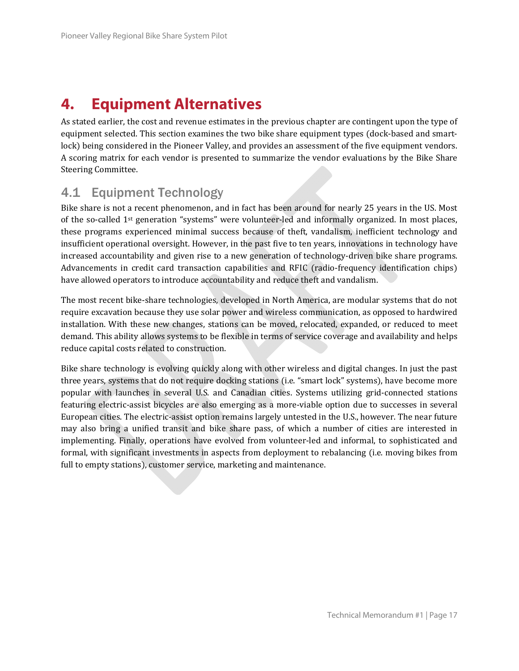## **4. Equipment Alternatives**

As stated earlier, the cost and revenue estimates in the previous chapter are contingent upon the type of equipment selected. This section examines the two bike share equipment types (dock-based and smartlock) being considered in the Pioneer Valley, and provides an assessment of the five equipment vendors. A scoring matrix for each vendor is presented to summarize the vendor evaluations by the Bike Share Steering Committee.

### 4.1 Equipment Technology

Bike share is not a recent phenomenon, and in fact has been around for nearly 25 years in the US. Most of the so-called  $1^{st}$  generation "systems" were volunteer-led and informally organized. In most places, these programs experienced minimal success because of theft, vandalism, inefficient technology and insufficient operational oversight. However, in the past five to ten years, innovations in technology have increased accountability and given rise to a new generation of technology-driven bike share programs. Advancements in credit card transaction capabilities and RFIC (radio-frequency identification chips) have allowed operators to introduce accountability and reduce theft and vandalism.

The most recent bike-share technologies, developed in North America, are modular systems that do not require excavation because they use solar power and wireless communication, as opposed to hardwired installation. With these new changes, stations can be moved, relocated, expanded, or reduced to meet demand. This ability allows systems to be flexible in terms of service coverage and availability and helps reduce capital costs related to construction.

Bike share technology is evolving quickly along with other wireless and digital changes. In just the past three years, systems that do not require docking stations (i.e. "smart lock" systems), have become more popular with launches in several U.S. and Canadian cities. Systems utilizing grid-connected stations featuring electric-assist bicycles are also emerging as a more-viable option due to successes in several European cities. The electric-assist option remains largely untested in the U.S., however. The near future may also bring a unified transit and bike share pass, of which a number of cities are interested in implementing. Finally, operations have evolved from volunteer-led and informal, to sophisticated and formal, with significant investments in aspects from deployment to rebalancing (i.e. moving bikes from full to empty stations), customer service, marketing and maintenance.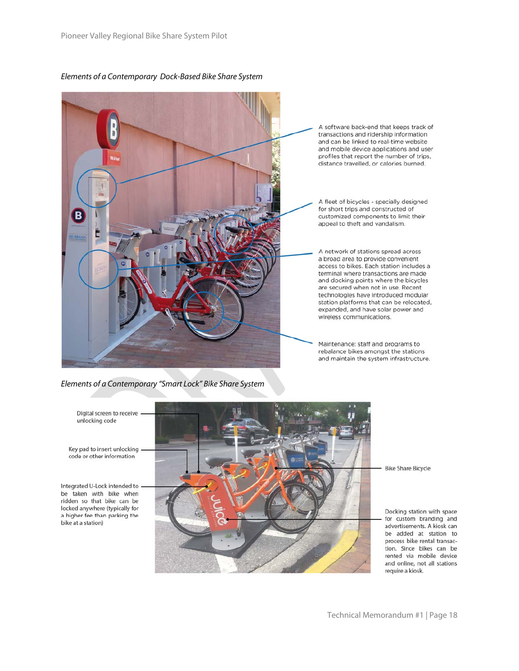#### Elements of a Contemporary Dock-Based Bike Share System



A software back-end that keeps track of transactions and ridership information and can be linked to real-time website and mobile device applications and user profiles that report the number of trips, distance travelled, or calories burned.

A fleet of bicycles - specially designed for short trips and constructed of customized components to limit their appeal to theft and vandalism.

A network of stations spread across a broad area to provide convenient access to bikes. Each station includes a terminal where transactions are made and docking points where the bicycles are secured when not in use. Recent technologies have introduced modular station platforms that can be relocated, expanded, and have solar power and wireless communications.

Maintenance: staff and programs to rebalance bikes amongst the stations and maintain the system infrastructure.

Elements of a Contemporary "Smart Lock" Bike Share System

Digital screen to receive unlocking code

Key pad to insert unlocking code or other information

Integrated U-Lock intended to be taken with bike when ridden so that bike can be locked anywhere (typically for a higher fee than parking the bike at a station)



**Bike Share Bicycle** 

Docking station with space for custom branding and advertisements. A kiosk can be added at station to process bike rental transaction. Since bikes can be rented via mobile device and online, not all stations require a kiosk.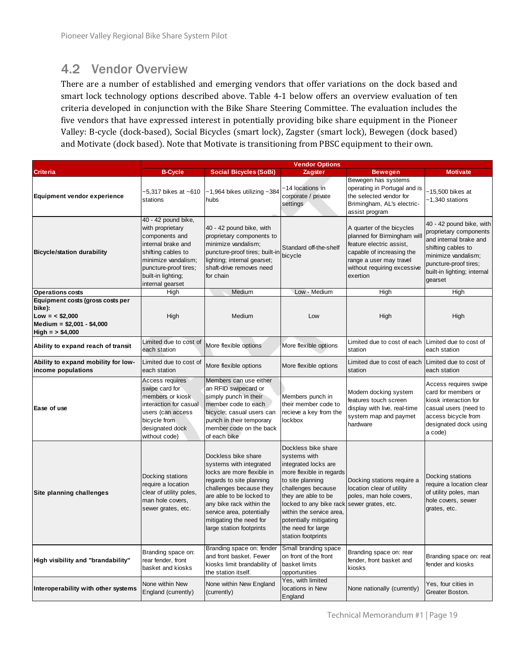### 4.2 Vendor Overview

There are a number of established and emerging vendors that offer variations on the dock based and smart lock technology options described above. Table 4-1 below offers an overview evaluation of ten criteria developed in conjunction with the Bike Share Steering Committee. The evaluation includes the five vendors that have expressed interest in potentially providing bike share equipment in the Pioneer Valley: B-cycle (dock-based), Social Bicycles (smart lock), Zagster (smart lock), Bewegen (dock based) and Motivate (dock based). Note that Motivate is transitioning from PBSC equipment to their own.

|                                                                                                                   |                                                                                                                                                                                                 |                                                                                                                                                                                                                                                                                 | <b>Vendor Options</b>                                                                                                                                                                                                                                                                 |                                                                                                                                                                                         |                                                                                                                                                                                              |
|-------------------------------------------------------------------------------------------------------------------|-------------------------------------------------------------------------------------------------------------------------------------------------------------------------------------------------|---------------------------------------------------------------------------------------------------------------------------------------------------------------------------------------------------------------------------------------------------------------------------------|---------------------------------------------------------------------------------------------------------------------------------------------------------------------------------------------------------------------------------------------------------------------------------------|-----------------------------------------------------------------------------------------------------------------------------------------------------------------------------------------|----------------------------------------------------------------------------------------------------------------------------------------------------------------------------------------------|
| <b>Criteria</b>                                                                                                   | <b>B-Cycle</b>                                                                                                                                                                                  | <b>Social Bicycles (SoBi)</b>                                                                                                                                                                                                                                                   | Zagster                                                                                                                                                                                                                                                                               | <b>Bewegen</b>                                                                                                                                                                          | Motivate                                                                                                                                                                                     |
| <b>Equipment vendor experience</b>                                                                                | ~5,317 bikes at ~610<br>stations                                                                                                                                                                | $~1,964$ bikes utilizing $~1384$<br>hubs                                                                                                                                                                                                                                        | ~14 locations in<br>corporate / private<br>settings                                                                                                                                                                                                                                   | Bewegen has systems<br>operating in Portugal and is<br>the selected vendor for<br>Brimingham, AL's electric-<br>assist program                                                          | -15,500 bikes at<br>~1,340 stations                                                                                                                                                          |
| <b>Bicycle/station durability</b>                                                                                 | 40 - 42 pound bike,<br>with proprietary<br>components and<br>internal brake and<br>shifting cables to<br>minimize vandalism;<br>puncture-proof tires;<br>built-in lighting;<br>internal gearset | 40 - 42 pound bike, with<br>proprietary components to<br>minimize vandalism;<br>puncture-proof tires; built-in<br>lighting; internal gearset;<br>shaft-drive removes need<br>for chain                                                                                          | Standard off-the-shelf<br>bicycle                                                                                                                                                                                                                                                     | A quarter of the bicycles<br>planned for Birmingham will<br>feature electric assist,<br>capable of increasing the<br>range a user may travel<br>without requiring excessive<br>exertion | 40 - 42 pound bike, with<br>proprietary components<br>and internal brake and<br>shifting cables to<br>minimize vandalism;<br>puncture-proof tires;<br>built-in lighting; internal<br>gearset |
| <b>Operations costs</b>                                                                                           | High                                                                                                                                                                                            | Medium                                                                                                                                                                                                                                                                          | Low - Medium                                                                                                                                                                                                                                                                          | High                                                                                                                                                                                    | High                                                                                                                                                                                         |
| Equipment costs (gross costs per<br>bike):<br>$Low = < $2,000$<br>Medium = $$2,001 - $4,000$<br>$High = > $4,000$ | High                                                                                                                                                                                            | Medium                                                                                                                                                                                                                                                                          | Low                                                                                                                                                                                                                                                                                   | High                                                                                                                                                                                    | High                                                                                                                                                                                         |
| Ability to expand reach of transit                                                                                | Limited due to cost of<br>each station                                                                                                                                                          | More flexible options                                                                                                                                                                                                                                                           | More flexible options                                                                                                                                                                                                                                                                 | Limited due to cost of each<br>station                                                                                                                                                  | Limited due to cost of<br>each station                                                                                                                                                       |
| Ability to expand mobility for low-<br>income populations                                                         | Limited due to cost of<br>each station                                                                                                                                                          | More flexible options                                                                                                                                                                                                                                                           | More flexible options                                                                                                                                                                                                                                                                 | Limited due to cost of each Limited due to cost of<br>station                                                                                                                           | each station                                                                                                                                                                                 |
| Ease of use                                                                                                       | Access requires<br>swipe card for<br>members or kiosk<br>interaction for casual<br>users (can access<br>bicycle from<br>designated dock<br>without code)                                        | Members can use either<br>an RFID swipecard or<br>simply punch in their<br>member code to each<br>bicycle; casual users can<br>punch in their temporary<br>member code on the back<br>of each bike                                                                              | Members punch in<br>their member code to<br>recieve a key from the<br>lockbox                                                                                                                                                                                                         | Modern docking system<br>features touch screen<br>display with live, real-time<br>system map and paymet<br>hardware                                                                     | Access requires swipe<br>card for members or<br>kiosk interaction for<br>casual users (need to<br>access bicycle from<br>designated dock using<br>a code)                                    |
| Site planning challenges                                                                                          | Docking stations<br>require a location<br>clear of utility poles,<br>man hole covers,<br>sewer grates, etc.                                                                                     | Dockless bike share<br>systems with integrated<br>locks are more flexible in<br>regards to site planning<br>challenges because they<br>are able to be locked to<br>any bike rack within the<br>service area, potentially<br>mitigating the need for<br>large station footprints | Dockless bike share<br>systems with<br>integrated locks are<br>more flexible in regards<br>to site planning<br>challenges because<br>they are able to be<br>locked to any bike rack<br>within the service area,<br>potentially mitigating<br>the need for large<br>station footprints | Docking stations require a<br>location clear of utility<br>poles, man hole covers,<br>sewer grates, etc.                                                                                | Docking stations<br>require a location clear<br>of utility poles, man<br>hole covers, sewer<br>grates, etc.                                                                                  |
| High visibility and "brandability"                                                                                | Branding space on:<br>rear fender, front<br>basket and kiosks                                                                                                                                   | Branding space on: fender<br>and front basket. Fewer<br>kiosks limit brandability of<br>the station itself.                                                                                                                                                                     | Small branding space<br>on front of the front<br>basket limits<br>opportunities                                                                                                                                                                                                       | Branding space on: rear<br>fender, front basket and<br>kiosks                                                                                                                           | Branding space on: reat<br>fender and kiosks                                                                                                                                                 |
| Interoperability with other systems                                                                               | None within New<br>England (currently)                                                                                                                                                          | None within New England<br>(currently)                                                                                                                                                                                                                                          | Yes, with limited<br>locations in New<br>England                                                                                                                                                                                                                                      | None nationally (currently)                                                                                                                                                             | Yes, four cities in<br>Greater Boston.                                                                                                                                                       |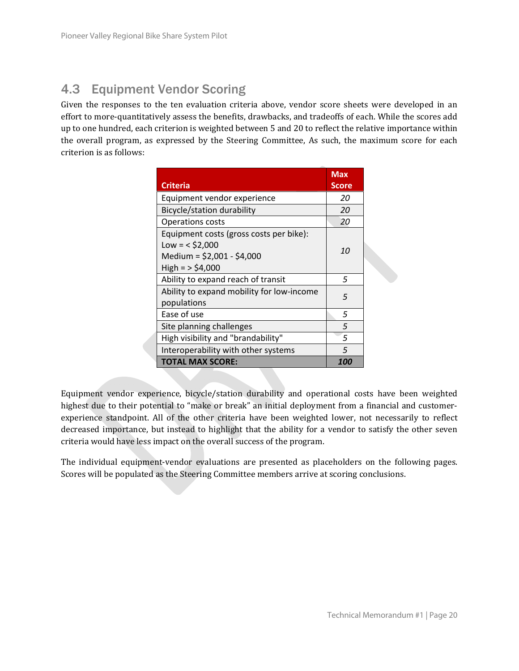### 4.3 Equipment Vendor Scoring

Given the responses to the ten evaluation criteria above, vendor score sheets were developed in an effort to more-quantitatively assess the benefits, drawbacks, and tradeoffs of each. While the scores add up to one hundred, each criterion is weighted between 5 and 20 to reflect the relative importance within the overall program, as expressed by the Steering Committee, As such, the maximum score for each criterion is as follows:

| <b>Criteria</b>                                                                                                | <b>Max</b><br><b>Score</b> |  |
|----------------------------------------------------------------------------------------------------------------|----------------------------|--|
| Equipment vendor experience                                                                                    | 20                         |  |
| Bicycle/station durability                                                                                     | 20                         |  |
| <b>Operations costs</b>                                                                                        | 20                         |  |
| Equipment costs (gross costs per bike):<br>$Low = < $2,000$<br>Medium = $$2,001 - $4,000$<br>$High = > $4,000$ | 10                         |  |
| Ability to expand reach of transit                                                                             | 5                          |  |
| Ability to expand mobility for low-income<br>populations                                                       | 5                          |  |
| Ease of use                                                                                                    | 5                          |  |
| Site planning challenges                                                                                       | 5                          |  |
| High visibility and "brandability"                                                                             | 5                          |  |
| Interoperability with other systems                                                                            | 5                          |  |
| <b>TOTAL MAX SCORE:</b>                                                                                        | 100                        |  |

Equipment vendor experience, bicycle/station durability and operational costs have been weighted highest due to their potential to "make or break" an initial deployment from a financial and customerexperience standpoint. All of the other criteria have been weighted lower, not necessarily to reflect decreased importance, but instead to highlight that the ability for a vendor to satisfy the other seven criteria would have less impact on the overall success of the program.

The individual equipment-vendor evaluations are presented as placeholders on the following pages. Scores will be populated as the Steering Committee members arrive at scoring conclusions.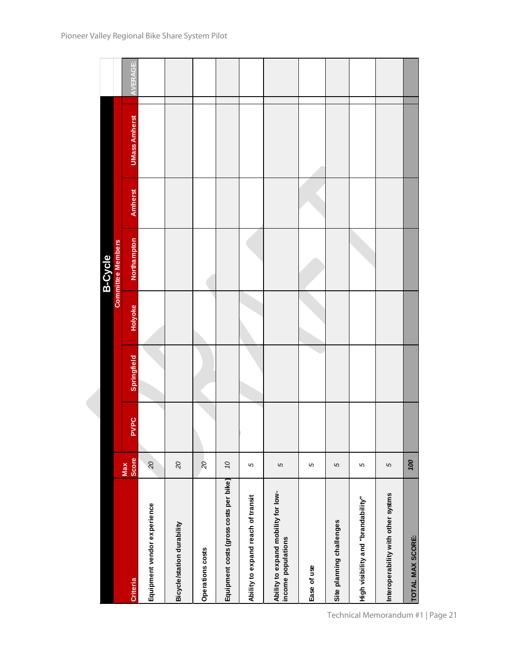|                                                           |                     |             |             |         | <b>B-Cycle</b>           |                |                      |          |
|-----------------------------------------------------------|---------------------|-------------|-------------|---------|--------------------------|----------------|----------------------|----------|
|                                                           |                     |             |             |         | <b>Committee Members</b> |                |                      |          |
| <b>Criteria</b>                                           | <b>Score</b><br>Max | <b>PVPC</b> | Springfield | Holyoke | <b>Northampton</b>       | <b>Amherst</b> | <b>UMass Amherst</b> | AVERAGE: |
| Equipment vendor experience                               | 20                  |             |             |         |                          |                |                      |          |
| Bicycle/station durability                                | 20                  |             |             |         |                          |                |                      |          |
| Operations costs                                          | 20                  |             |             |         |                          |                |                      |          |
| Equipment costs (gross costs per bike)                    | 07                  |             |             |         |                          |                |                      |          |
| Ability to expand reach of transit                        | S                   |             |             |         |                          |                |                      |          |
| Ability to expand mobility for low-<br>income populations | S                   |             |             |         |                          |                |                      |          |
| Ease of use                                               | 5                   |             |             |         |                          |                |                      |          |
| Site planning challenges                                  | S                   |             |             |         |                          |                |                      |          |
| High visibility and "brandability"                        | 5                   |             |             |         |                          |                |                      |          |
| Interoperability with other systms                        | S                   |             |             |         |                          |                |                      |          |
| TOTAL MAX SCORE:                                          | 100                 |             |             |         |                          |                |                      |          |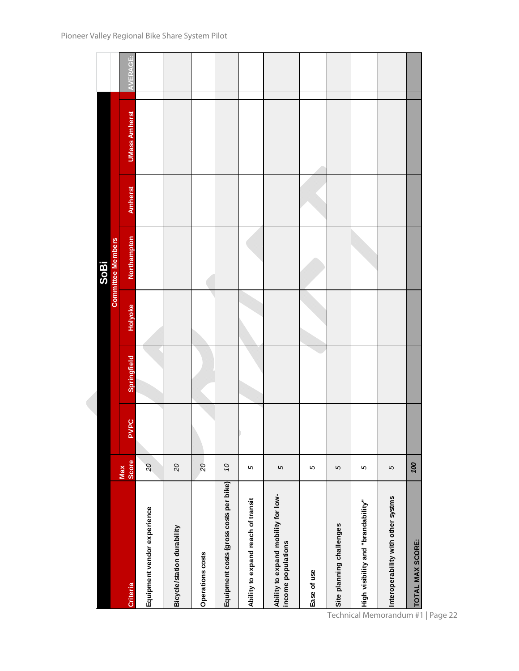|                                                           |                       |      |             |         | <b>SoBi</b>              |                |                      |                 |
|-----------------------------------------------------------|-----------------------|------|-------------|---------|--------------------------|----------------|----------------------|-----------------|
|                                                           | Max                   |      |             |         | <b>Committee Members</b> |                |                      |                 |
| <b>Criteria</b>                                           | Score                 | PVPC | Springfield | Holyoke | <b>Northampton</b>       | <b>Amherst</b> | <b>UMass Amherst</b> | <b>AVERAGE:</b> |
| Equipment vendor experience                               | $\mathcal{S}$         |      |             |         |                          |                |                      |                 |
| Bicycle/station durability                                | $\overline{5}$        |      |             |         |                          |                |                      |                 |
| Operations costs                                          | $\overline{c}$        |      |             |         |                          |                |                      |                 |
| Equipment costs (gross costs per bike)                    | $\tilde{\mathcal{O}}$ |      |             |         |                          |                |                      |                 |
| Ability to expand reach of transit                        | S                     |      |             |         |                          |                |                      |                 |
| Ability to expand mobility for low-<br>income populations | 5                     |      |             |         |                          |                |                      |                 |
| Ease of use                                               | 5                     |      |             |         |                          |                |                      |                 |
| Site planning challenges                                  | 5                     |      |             |         |                          |                |                      |                 |
| High visibility and "brandability"                        | 5                     |      |             |         |                          |                |                      |                 |
| Interoperability with other systms                        | 5                     |      |             |         |                          |                |                      |                 |
| TOTAL MAX SCORE:                                          | 100                   |      |             |         |                          |                |                      |                 |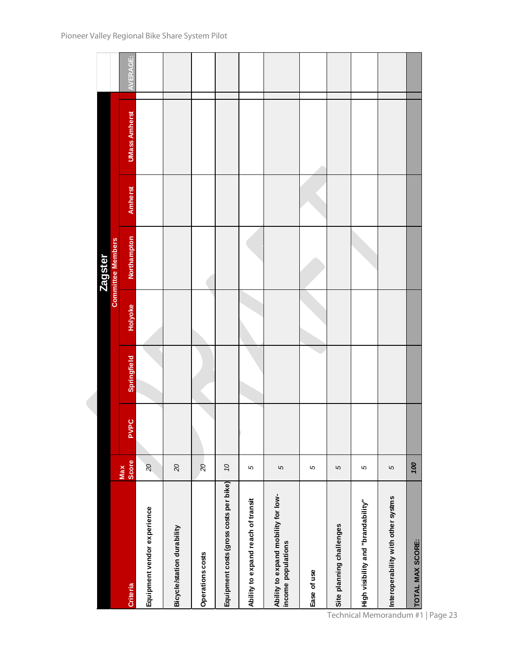|                                                           |                     |             |             |                | <b>Zagster</b>           |                |                      |          |
|-----------------------------------------------------------|---------------------|-------------|-------------|----------------|--------------------------|----------------|----------------------|----------|
|                                                           |                     |             |             |                | <b>Committee Members</b> |                |                      |          |
| Criteria                                                  | <b>Score</b><br>Max | <b>PVPC</b> | Springfield | <b>Holyoke</b> | Northampton              | <b>Amherst</b> | <b>UMass Amherst</b> | AVERAGE: |
| Equipment vendor experience                               | 20                  |             |             |                |                          |                |                      |          |
| Bicycle/station durability                                | $\overline{c}$      |             |             |                |                          |                |                      |          |
| Operations costs                                          | $\overline{20}$     |             |             |                |                          |                |                      |          |
| Equipment costs (gross costs per bike)                    | OL                  |             |             |                |                          |                |                      |          |
| Ability to expand reach of transit                        | 5                   |             |             |                |                          |                |                      |          |
| Ability to expand mobility for low-<br>income populations | 5                   |             |             |                |                          |                |                      |          |
| Ease of use                                               | 5                   |             |             |                |                          |                |                      |          |
| Site planning challenges                                  | S                   |             |             |                |                          |                |                      |          |
| High visibility and "brandability"                        | 5                   |             |             |                |                          |                |                      |          |
| Interoperability with other systms                        | 5                   |             |             |                |                          |                |                      |          |
| TOTAL MAX SCORE:                                          | 100                 |             |             |                |                          |                |                      |          |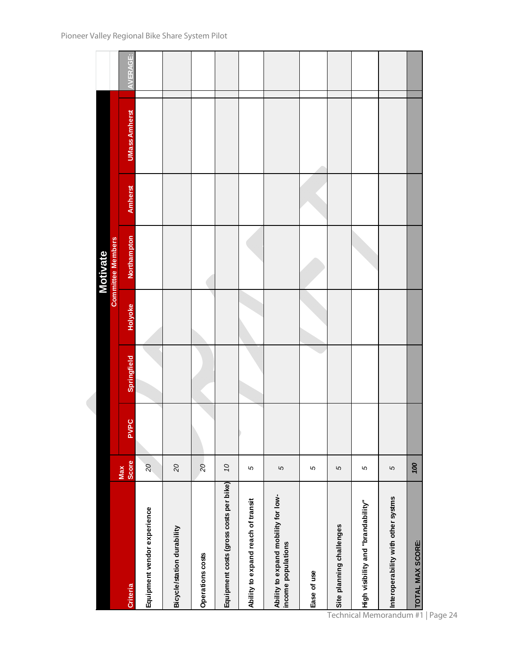|                                                           |                          |      |                    |         | <b>Motivate</b>          |         |                      |                 |
|-----------------------------------------------------------|--------------------------|------|--------------------|---------|--------------------------|---------|----------------------|-----------------|
|                                                           |                          |      |                    |         | <b>Committee Members</b> |         |                      |                 |
| <b>Criteria</b>                                           | Score<br>Max             | PVPC | <b>Springfield</b> | Holyoke | Northampton              | Amherst | <b>UMass Amherst</b> | <b>AVERAGE:</b> |
| Equipment vendor experience                               | $\overline{\mathcal{C}}$ |      |                    |         |                          |         |                      |                 |
| Bicycle/station durability                                | 20                       |      |                    |         |                          |         |                      |                 |
| Operations costs                                          | $\overline{a}$           |      |                    |         |                          |         |                      |                 |
| Equipment costs (gross costs per bike)                    | $\mathcal{O}$            |      |                    |         |                          |         |                      |                 |
| Ability to expand reach of transit                        | 5                        |      |                    |         |                          |         |                      |                 |
| Ability to expand mobility for low-<br>income populations | 5                        |      |                    |         |                          |         |                      |                 |
| Ease of use                                               | 5                        |      |                    |         |                          |         |                      |                 |
| Site planning challenges                                  | $\mathfrak{c}$           |      |                    |         |                          |         |                      |                 |
| High visibility and "brandability"                        | 5                        |      |                    |         |                          |         |                      |                 |
| Interoperability with other systms                        | S                        |      |                    |         |                          |         |                      |                 |
| TOTAL MAX SCORE:                                          | $\infty$                 |      |                    |         |                          |         |                      |                 |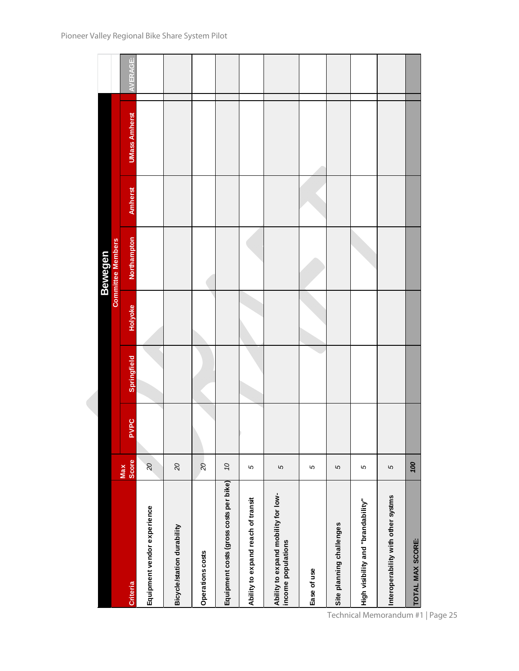|                                                           |                          |             |             |         | <b>Bewegen</b>           |                |                      |          |
|-----------------------------------------------------------|--------------------------|-------------|-------------|---------|--------------------------|----------------|----------------------|----------|
|                                                           |                          |             |             |         | <b>Committee Members</b> |                |                      |          |
| <b>Criteria</b>                                           | <b>Score</b><br>Max      | <b>PVPC</b> | Springfield | Holyoke | Northampton              | <b>Amherst</b> | <b>UMass Amherst</b> | AVERAGE: |
| Equipment vendor experience                               | $\overline{\mathcal{C}}$ |             |             |         |                          |                |                      |          |
| Bicycle/station durability                                | $\mathcal{Q}$            |             |             |         |                          |                |                      |          |
| Operations costs                                          | $\overline{c}$           |             |             |         |                          |                |                      |          |
| Equipment costs (gross costs per bike)                    | $\mathcal{O}$            |             |             |         |                          |                |                      |          |
| Ability to expand reach of transit                        | 5                        |             |             |         |                          |                |                      |          |
| Ability to expand mobility for low-<br>income populations | S                        |             |             |         |                          |                |                      |          |
| Ease of use                                               | 5                        |             |             |         |                          |                |                      |          |
| Site planning challenges                                  | S                        |             |             |         |                          |                |                      |          |
| High visibility and "brandability"                        | S                        |             |             |         |                          |                |                      |          |
| Interoperability with other systms                        | $\mathbf{\Omega}$        |             |             |         |                          |                |                      |          |
| <b>TOTAL MAX SCORE:</b>                                   | 700                      |             |             |         |                          |                |                      |          |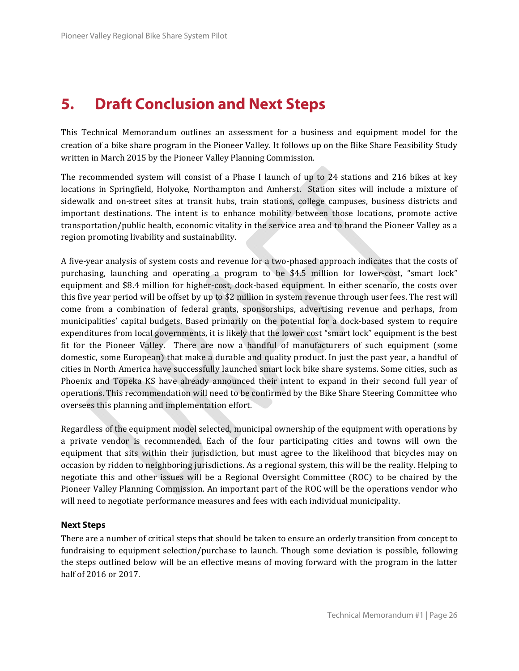## **5. Draft Conclusion and Next Steps**

This Technical Memorandum outlines an assessment for a business and equipment model for the creation of a bike share program in the Pioneer Valley. It follows up on the Bike Share Feasibility Study written in March 2015 by the Pioneer Valley Planning Commission.

The recommended system will consist of a Phase I launch of up to 24 stations and 216 bikes at key locations in Springfield, Holyoke, Northampton and Amherst. Station sites will include a mixture of sidewalk and on-street sites at transit hubs, train stations, college campuses, business districts and important destinations. The intent is to enhance mobility between those locations, promote active transportation/public health, economic vitality in the service area and to brand the Pioneer Valley as a region promoting livability and sustainability.

A five-year analysis of system costs and revenue for a two-phased approach indicates that the costs of purchasing, launching and operating a program to be \$4.5 million for lower-cost, "smart lock" equipment and \$8.4 million for higher-cost, dock-based equipment. In either scenario, the costs over this five year period will be offset by up to \$2 million in system revenue through user fees. The rest will come from a combination of federal grants, sponsorships, advertising revenue and perhaps, from municipalities' capital budgets. Based primarily on the potential for a dock-based system to require expenditures from local governments, it is likely that the lower cost "smart lock" equipment is the best fit for the Pioneer Valley. There are now a handful of manufacturers of such equipment (some domestic, some European) that make a durable and quality product. In just the past year, a handful of cities in North America have successfully launched smart lock bike share systems. Some cities, such as Phoenix and Topeka KS have already announced their intent to expand in their second full year of operations. This recommendation will need to be confirmed by the Bike Share Steering Committee who oversees this planning and implementation effort.

Regardless of the equipment model selected, municipal ownership of the equipment with operations by a private vendor is recommended. Each of the four participating cities and towns will own the equipment that sits within their jurisdiction, but must agree to the likelihood that bicycles may on occasion by ridden to neighboring jurisdictions. As a regional system, this will be the reality. Helping to negotiate this and other issues will be a Regional Oversight Committee (ROC) to be chaired by the Pioneer Valley Planning Commission. An important part of the ROC will be the operations vendor who will need to negotiate performance measures and fees with each individual municipality.

#### **Next Steps**

There are a number of critical steps that should be taken to ensure an orderly transition from concept to fundraising to equipment selection/purchase to launch. Though some deviation is possible, following the steps outlined below will be an effective means of moving forward with the program in the latter half of 2016 or 2017.